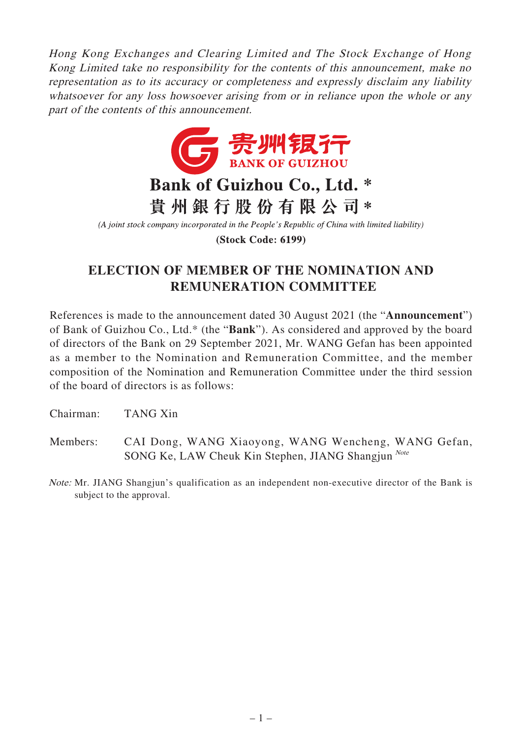Hong Kong Exchanges and Clearing Limited and The Stock Exchange of Hong Kong Limited take no responsibility for the contents of this announcement, make no representation as to its accuracy or completeness and expressly disclaim any liability whatsoever for any loss howsoever arising from or in reliance upon the whole or any part of the contents of this announcement.



(A joint stock company incorporated in the People's Republic of China with limited liability)

**(Stock Code: 6199)** 

## **ELECTION OF MEMBER OF THE NOMINATION AND REMUNERATION COMMITTEE**

References is made to the announcement dated 30 August 2021 (the "**Announcement**") of Bank of Guizhou Co., Ltd.\* (the "**Bank**"). As considered and approved by the board of directors of the Bank on 29 September 2021, Mr. WANG Gefan has been appointed as a member to the Nomination and Remuneration Committee, and the member composition of the Nomination and Remuneration Committee under the third session of the board of directors is as follows:

Chairman: TANG Xin

- Members: CAI Dong, WANG Xiaoyong, WANG Wencheng, WANG Gefan, SONG Ke, LAW Cheuk Kin Stephen, JIANG Shangjun<sup>Note</sup>
- Note: Mr. JIANG Shangjun's qualification as an independent non-executive director of the Bank is subject to the approval.